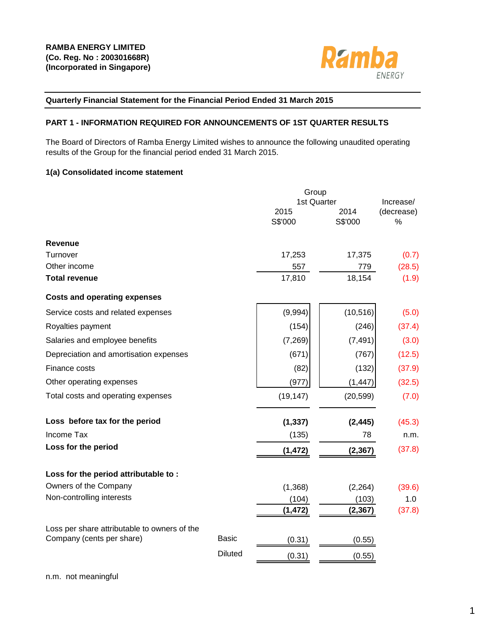

## **Quarterly Financial Statement for the Financial Period Ended 31 March 2015**

## **PART 1 - INFORMATION REQUIRED FOR ANNOUNCEMENTS OF 1ST QUARTER RESULTS**

The Board of Directors of Ramba Energy Limited wishes to announce the following unaudited operating results of the Group for the financial period ended 31 March 2015.

## **1(a) Consolidated income statement**

|                                              |                | Group           |                 |                    |
|----------------------------------------------|----------------|-----------------|-----------------|--------------------|
|                                              |                | 1st Quarter     |                 | Increase/          |
|                                              |                | 2015<br>S\$'000 | 2014<br>S\$'000 | (decrease)<br>$\%$ |
|                                              |                |                 |                 |                    |
| <b>Revenue</b>                               |                |                 |                 |                    |
| Turnover                                     |                | 17,253          | 17,375          | (0.7)              |
| Other income                                 |                | 557             | 779             | (28.5)             |
| <b>Total revenue</b>                         |                | 17,810          | 18,154          | (1.9)              |
| <b>Costs and operating expenses</b>          |                |                 |                 |                    |
| Service costs and related expenses           |                | (9,994)         | (10, 516)       | (5.0)              |
| Royalties payment                            |                | (154)           | (246)           | (37.4)             |
| Salaries and employee benefits               |                | (7, 269)        | (7, 491)        | (3.0)              |
| Depreciation and amortisation expenses       |                | (671)           | (767)           | (12.5)             |
| Finance costs                                |                | (82)            | (132)           | (37.9)             |
| Other operating expenses                     |                | (977)           | (1, 447)        | (32.5)             |
| Total costs and operating expenses           |                | (19, 147)       | (20, 599)       | (7.0)              |
| Loss before tax for the period               |                | (1, 337)        | (2, 445)        | (45.3)             |
| Income Tax                                   |                | (135)           | 78              | n.m.               |
| Loss for the period                          |                | (1, 472)        | (2, 367)        | (37.8)             |
| Loss for the period attributable to:         |                |                 |                 |                    |
| Owners of the Company                        |                | (1, 368)        | (2, 264)        | (39.6)             |
| Non-controlling interests                    |                | (104)           | (103)           | 1.0                |
|                                              |                | (1,472)         | (2, 367)        | (37.8)             |
| Loss per share attributable to owners of the |                |                 |                 |                    |
| Company (cents per share)                    | <b>Basic</b>   | (0.31)          | (0.55)          |                    |
|                                              | <b>Diluted</b> | (0.31)          | (0.55)          |                    |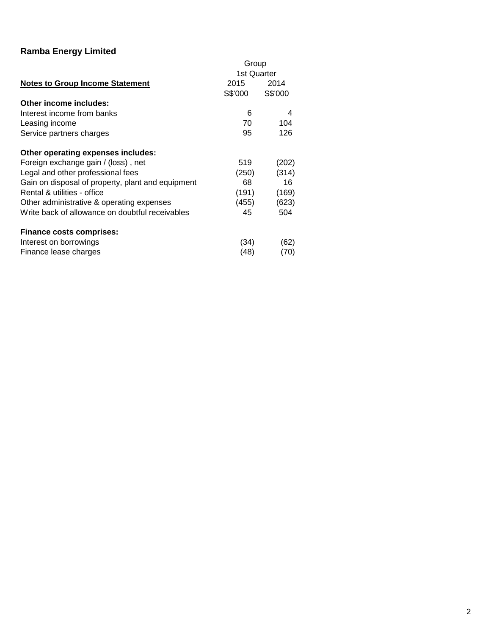|                                                   | Group       |         |
|---------------------------------------------------|-------------|---------|
|                                                   | 1st Quarter |         |
| <b>Notes to Group Income Statement</b>            | 2015        | 2014    |
|                                                   | S\$'000     | S\$'000 |
| Other income includes:                            |             |         |
| Interest income from banks                        | 6           | 4       |
| Leasing income                                    | 70          | 104     |
| Service partners charges                          | 95          | 126     |
| Other operating expenses includes:                |             |         |
| Foreign exchange gain / (loss), net               | 519         | (202)   |
| Legal and other professional fees                 | (250)       | (314)   |
| Gain on disposal of property, plant and equipment | 68          | 16      |
| Rental & utilities - office                       | (191)       | (169)   |
| Other administrative & operating expenses         | (455)       | (623)   |
| Write back of allowance on doubtful receivables   | 45          | 504     |
| <b>Finance costs comprises:</b>                   |             |         |
| Interest on borrowings                            | (34)        | (62)    |
| Finance lease charges                             | (48)        | (70)    |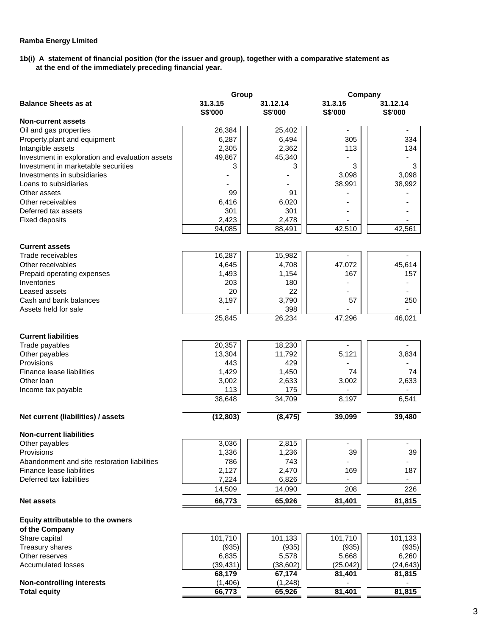## **1b(i) A statement of financial position (for the issuer and group), together with a comparative statement as at the end of the immediately preceding financial year.**

|                                                     | Group              |                     | Company            |                     |  |  |
|-----------------------------------------------------|--------------------|---------------------|--------------------|---------------------|--|--|
| <b>Balance Sheets as at</b>                         | 31.3.15<br>S\$'000 | 31.12.14<br>S\$'000 | 31.3.15<br>S\$'000 | 31.12.14<br>S\$'000 |  |  |
| <b>Non-current assets</b>                           |                    |                     |                    |                     |  |  |
| Oil and gas properties                              | 26,384             | 25,402              |                    |                     |  |  |
| Property, plant and equipment                       | 6,287              | 6,494               | 305                | 334                 |  |  |
| Intangible assets                                   | 2,305              | 2,362               | 113                | 134                 |  |  |
| Investment in exploration and evaluation assets     | 49,867             | 45,340              |                    |                     |  |  |
| Investment in marketable securities                 | 3                  | 3                   | 3                  | 3                   |  |  |
| Investments in subsidiaries                         |                    |                     | 3,098              | 3,098               |  |  |
| Loans to subsidiaries                               |                    |                     | 38,991             | 38,992              |  |  |
| Other assets                                        | 99                 | 91                  |                    |                     |  |  |
| Other receivables                                   | 6,416              | 6,020               |                    |                     |  |  |
| Deferred tax assets                                 | 301                | 301                 |                    |                     |  |  |
| <b>Fixed deposits</b>                               | 2,423              | 2,478               |                    |                     |  |  |
|                                                     | 94,085             | 88,491              | 42,510             | 42,561              |  |  |
| <b>Current assets</b>                               |                    |                     |                    |                     |  |  |
| Trade receivables                                   | 16,287             | 15,982              |                    |                     |  |  |
| Other receivables                                   | 4,645              | 4,708               | 47,072             | 45,614              |  |  |
| Prepaid operating expenses                          | 1,493              | 1,154               | 167                | 157                 |  |  |
| Inventories                                         | 203                | 180                 |                    |                     |  |  |
| Leased assets                                       | 20                 | 22                  |                    |                     |  |  |
| Cash and bank balances                              | 3,197              | 3,790               | 57                 | 250                 |  |  |
| Assets held for sale                                |                    | 398                 |                    |                     |  |  |
|                                                     | 25,845             | 26,234              | 47,296             | 46,021              |  |  |
| <b>Current liabilities</b>                          |                    |                     |                    |                     |  |  |
| Trade payables                                      | 20,357             | 18,230              |                    |                     |  |  |
| Other payables                                      | 13,304             | 11,792              | 5,121              | 3,834               |  |  |
| Provisions                                          | 443                | 429                 |                    |                     |  |  |
| Finance lease liabilities                           | 1,429              | 1,450               | 74                 | 74                  |  |  |
| Other Ioan                                          | 3,002              | 2,633               | 3,002              | 2,633               |  |  |
| Income tax payable                                  | 113                | 175                 |                    |                     |  |  |
|                                                     | 38,648             | 34,709              | 8,197              | 6,541               |  |  |
| Net current (liabilities) / assets                  | (12, 803)          | (8, 475)            | 39,099             | 39,480              |  |  |
| <b>Non-current liabilities</b>                      |                    |                     |                    |                     |  |  |
| Other payables                                      | 3,036              | 2,815               |                    |                     |  |  |
| Provisions                                          | 1,336              | 1,236               | 39                 | 39                  |  |  |
| Abandonment and site restoration liabilities        | 786                | 743                 |                    |                     |  |  |
| Finance lease liabilities                           | 2,127              | 2,470               | 169                | 187                 |  |  |
| Deferred tax liabilities                            | 7,224              | 6,826               |                    |                     |  |  |
|                                                     | 14,509             | 14,090              | 208                | 226                 |  |  |
| <b>Net assets</b>                                   | 66,773             | 65,926              | 81,401             | 81,815              |  |  |
|                                                     |                    |                     |                    |                     |  |  |
| Equity attributable to the owners<br>of the Company |                    |                     |                    |                     |  |  |
| Share capital                                       | 101,710            | 101,133             | 101,710            | 101,133             |  |  |
| Treasury shares                                     | (935)              | (935)               | (935)              | (935)               |  |  |
| Other reserves                                      | 6,835              | 5,578               | 5,668              | 6,260               |  |  |
| <b>Accumulated losses</b>                           | (39, 431)          | (38, 602)           | (25, 042)          | (24, 643)           |  |  |
|                                                     | 68,179             | 67,174              | 81,401             | 81,815              |  |  |
| <b>Non-controlling interests</b>                    | (1,406)            | (1,248)             |                    |                     |  |  |
| <b>Total equity</b>                                 | 66,773             | 65,926              | 81,401             | 81,815              |  |  |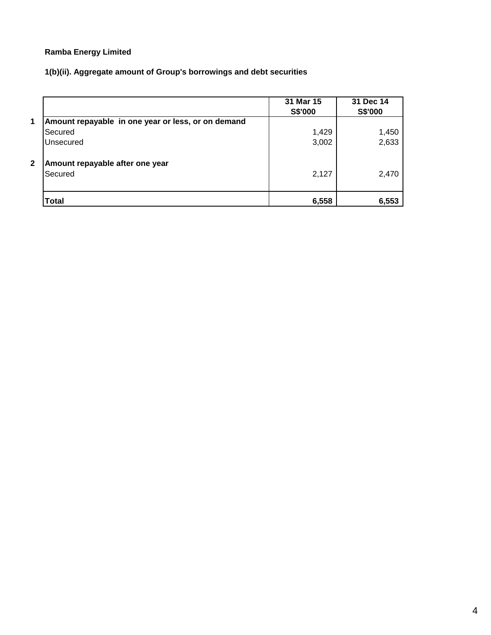**1(b)(ii). Aggregate amount of Group's borrowings and debt securities** 

|                                                         | 31 Mar 15<br>S\$'000 | 31 Dec 14<br><b>S\$'000</b> |
|---------------------------------------------------------|----------------------|-----------------------------|
| 1<br>Amount repayable in one year or less, or on demand |                      |                             |
| Secured                                                 | 1,429                | 1,450                       |
| Unsecured                                               | 3,002                | 2,633                       |
| $\mathbf{2}$<br>Amount repayable after one year         |                      |                             |
| Secured                                                 | 2,127                | 2,470                       |
| <b>Total</b>                                            | 6,558                | 6,553                       |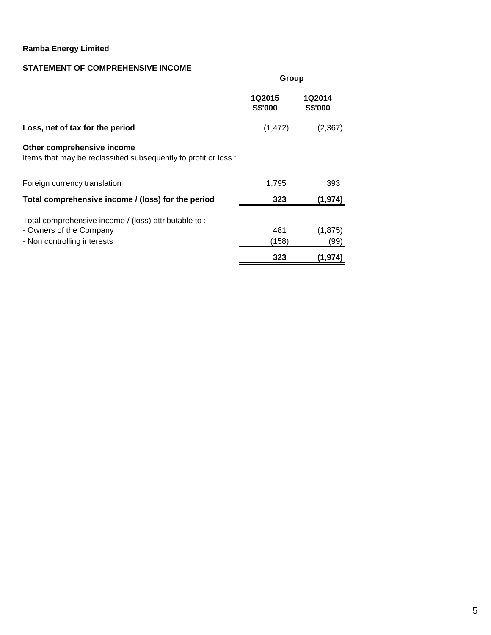## **STATEMENT OF COMPREHENSIVE INCOME**

|                                                                                                                 | Group             |                   |
|-----------------------------------------------------------------------------------------------------------------|-------------------|-------------------|
|                                                                                                                 | 1Q2015<br>S\$'000 | 1Q2014<br>S\$'000 |
| Loss, net of tax for the period                                                                                 | (1, 472)          | (2,367)           |
| Other comprehensive income<br>Items that may be reclassified subsequently to profit or loss:                    |                   |                   |
| Foreign currency translation                                                                                    | 1,795             | 393               |
| Total comprehensive income / (loss) for the period                                                              | 323               | (1,974)           |
| Total comprehensive income / (loss) attributable to :<br>- Owners of the Company<br>- Non controlling interests | 481<br>(158)      | (1, 875)<br>(99)  |
|                                                                                                                 | 323               | (1, 974)          |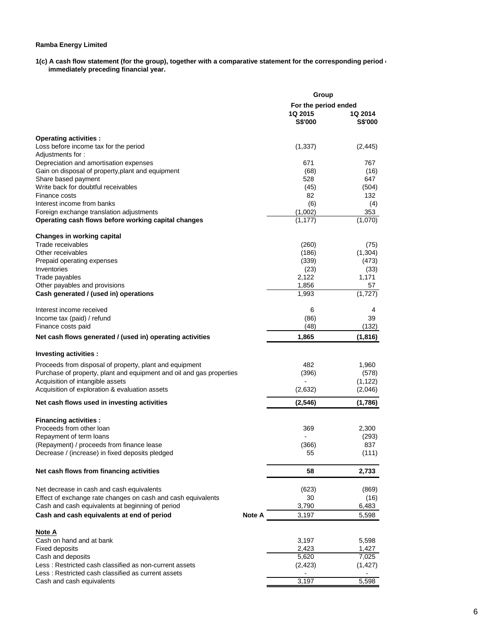**1(c) A cash flow statement (for the group), together with a comparative statement for the corresponding period ( immediately preceding financial year.** 

|                                                                      |               | Group                |                |  |  |
|----------------------------------------------------------------------|---------------|----------------------|----------------|--|--|
|                                                                      |               | For the period ended |                |  |  |
|                                                                      |               | 1Q 2015              | <b>1Q 2014</b> |  |  |
|                                                                      |               | S\$'000              | <b>S\$'000</b> |  |  |
| Operating activities :                                               |               |                      |                |  |  |
| Loss before income tax for the period                                |               | (1, 337)             | (2, 445)       |  |  |
| Adjustments for:                                                     |               |                      |                |  |  |
| Depreciation and amortisation expenses                               |               | 671                  | 767            |  |  |
| Gain on disposal of property, plant and equipment                    |               | (68)                 | (16)           |  |  |
| Share based payment                                                  |               | 528                  | 647            |  |  |
| Write back for doubtful receivables                                  |               | (45)                 | (504)          |  |  |
| Finance costs                                                        |               | 82                   | 132            |  |  |
| Interest income from banks                                           |               | (6)                  | (4)            |  |  |
| Foreign exchange translation adjustments                             |               | (1,002)              | 353            |  |  |
| Operating cash flows before working capital changes                  |               | (1, 177)             | (1,070)        |  |  |
| <b>Changes in working capital</b>                                    |               |                      |                |  |  |
| Trade receivables                                                    |               | (260)                | (75)           |  |  |
| Other receivables                                                    |               | (186)                | (1, 304)       |  |  |
|                                                                      |               |                      |                |  |  |
| Prepaid operating expenses<br>Inventories                            |               | (339)                | (473)          |  |  |
|                                                                      |               | (23)                 | (33)           |  |  |
| Trade payables                                                       |               | 2,122                | 1,171          |  |  |
| Other payables and provisions                                        |               | 1,856                | 57             |  |  |
| Cash generated / (used in) operations                                |               | 1,993                | (1,727)        |  |  |
| Interest income received                                             |               | 6                    | 4              |  |  |
| Income tax (paid) / refund                                           |               | (86)                 | 39             |  |  |
| Finance costs paid                                                   |               | (48)                 | (132)          |  |  |
| Net cash flows generated / (used in) operating activities            |               | 1,865                | (1, 816)       |  |  |
| Investing activities :                                               |               |                      |                |  |  |
| Proceeds from disposal of property, plant and equipment              |               | 482                  | 1,960          |  |  |
|                                                                      |               |                      |                |  |  |
| Purchase of property, plant and equipment and oil and gas properties |               | (396)                | (578)          |  |  |
| Acquisition of intangible assets                                     |               |                      | (1, 122)       |  |  |
| Acquisition of exploration & evaluation assets                       |               | (2,632)              | (2,046)        |  |  |
| Net cash flows used in investing activities                          |               | (2, 546)             | (1,786)        |  |  |
| <b>Financing activities:</b>                                         |               |                      |                |  |  |
| Proceeds from other loan                                             |               | 369                  | 2.300          |  |  |
| Repayment of term loans                                              |               |                      | (293)          |  |  |
| (Repayment) / proceeds from finance lease                            |               | (366)                | 837            |  |  |
| Decrease / (increase) in fixed deposits pledged                      |               | 55                   | (111)          |  |  |
| Net cash flows from financing activities                             |               | 58                   | 2,733          |  |  |
|                                                                      |               |                      |                |  |  |
| Net decrease in cash and cash equivalents                            |               | (623)                | (869)          |  |  |
| Effect of exchange rate changes on cash and cash equivalents         |               | 30                   | (16)           |  |  |
| Cash and cash equivalents at beginning of period                     |               | 3,790                | 6,483          |  |  |
| Cash and cash equivalents at end of period                           | <b>Note A</b> | 3,197                | 5,598          |  |  |
| Note A                                                               |               |                      |                |  |  |
| Cash on hand and at bank                                             |               | 3,197                | 5,598          |  |  |
| Fixed deposits                                                       |               | 2,423                | 1,427          |  |  |
| Cash and deposits                                                    |               | 5,620                | 7,025          |  |  |
| Less: Restricted cash classified as non-current assets               |               | (2, 423)             | (1, 427)       |  |  |
| Less: Restricted cash classified as current assets                   |               |                      |                |  |  |
| Cash and cash equivalents                                            |               | 3,197                | 5,598          |  |  |
|                                                                      |               |                      |                |  |  |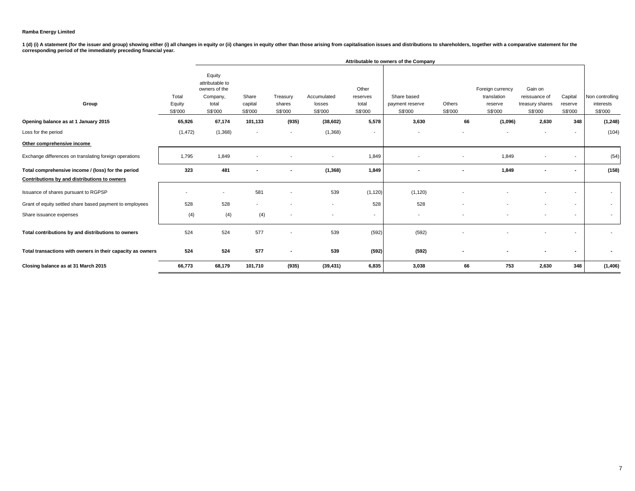1 (d) (i) A statement (for the issuer and group) showing either (i) all changes in equity or (ii) changes in equity other than those arising from capitalisation issues and distributions to shareholders, together with a com

|                                                            | Attributable to owners of the Company |                                                                            |                             |                               |                                  |                                       |                                           |                   |                                                       |                                                        |                               |                                         |
|------------------------------------------------------------|---------------------------------------|----------------------------------------------------------------------------|-----------------------------|-------------------------------|----------------------------------|---------------------------------------|-------------------------------------------|-------------------|-------------------------------------------------------|--------------------------------------------------------|-------------------------------|-----------------------------------------|
| Group                                                      | Total<br>Equity<br>S\$'000            | Equity<br>attributable to<br>owners of the<br>Company,<br>total<br>S\$'000 | Share<br>capital<br>S\$'000 | Treasury<br>shares<br>S\$'000 | Accumulated<br>losses<br>S\$'000 | Other<br>reserves<br>total<br>S\$'000 | Share based<br>payment reserve<br>S\$'000 | Others<br>S\$'000 | Foreign currency<br>translation<br>reserve<br>S\$'000 | Gain on<br>reissuance of<br>treasury shares<br>S\$'000 | Capital<br>reserve<br>S\$'000 | Non controlling<br>interests<br>S\$'000 |
| Opening balance as at 1 January 2015                       | 65,926                                | 67,174                                                                     | 101,133                     | (935)                         | (38, 602)                        | 5,578                                 | 3,630                                     | 66                | (1,096)                                               | 2,630                                                  | 348                           | (1, 248)                                |
| Loss for the period                                        | (1, 472)                              | (1,368)                                                                    | $\overline{\phantom{a}}$    | $\overline{\phantom{a}}$      | (1,368)                          | $\overline{\phantom{a}}$              | $\overline{\phantom{a}}$                  |                   | $\sim$                                                | $\overline{\phantom{a}}$                               | $\overline{\phantom{a}}$      | (104)                                   |
| Other comprehensive income                                 |                                       |                                                                            |                             |                               |                                  |                                       |                                           |                   |                                                       |                                                        |                               |                                         |
| Exchange differences on translating foreign operations     | 1,795                                 | 1,849                                                                      |                             |                               |                                  | 1,849                                 |                                           |                   | 1,849                                                 |                                                        | $\overline{\phantom{a}}$      | (54)                                    |
| Total comprehensive income / (loss) for the period         | 323                                   | 481                                                                        |                             | ٠                             | (1, 368)                         | 1,849                                 |                                           |                   | 1,849                                                 |                                                        |                               | (158)                                   |
| Contributions by and distributions to owners               |                                       |                                                                            |                             |                               |                                  |                                       |                                           |                   |                                                       |                                                        |                               |                                         |
| Issuance of shares pursuant to RGPSP                       |                                       |                                                                            | 581                         |                               | 539                              | (1, 120)                              | (1, 120)                                  |                   |                                                       |                                                        |                               | $\overline{\phantom{a}}$                |
| Grant of equity settled share based payment to employees   | 528                                   | 528                                                                        | $\overline{\phantom{a}}$    |                               | $\overline{\phantom{a}}$         | 528                                   | 528                                       |                   |                                                       | $\overline{\phantom{a}}$                               | $\overline{\phantom{a}}$      | $\overline{\phantom{a}}$                |
| Share issuance expenses                                    | (4)                                   | (4)                                                                        | (4)                         |                               | $\overline{\phantom{a}}$         | $\overline{\phantom{a}}$              | $\overline{\phantom{a}}$                  |                   |                                                       |                                                        | $\overline{\phantom{a}}$      | $\overline{\phantom{a}}$                |
| Total contributions by and distributions to owners         | 524                                   | 524                                                                        | 577                         |                               | 539                              | (592)                                 | (592)                                     |                   |                                                       |                                                        |                               |                                         |
| Total transactions with owners in their capacity as owners | 524                                   | 524                                                                        | 577                         | ٠                             | 539                              | (592)                                 | (592)                                     |                   |                                                       |                                                        | ٠                             |                                         |
| Closing balance as at 31 March 2015                        | 66,773                                | 68,179                                                                     | 101,710                     | (935)                         | (39, 431)                        | 6,835                                 | 3,038                                     | 66                | 753                                                   | 2,630                                                  | 348                           | (1, 406)                                |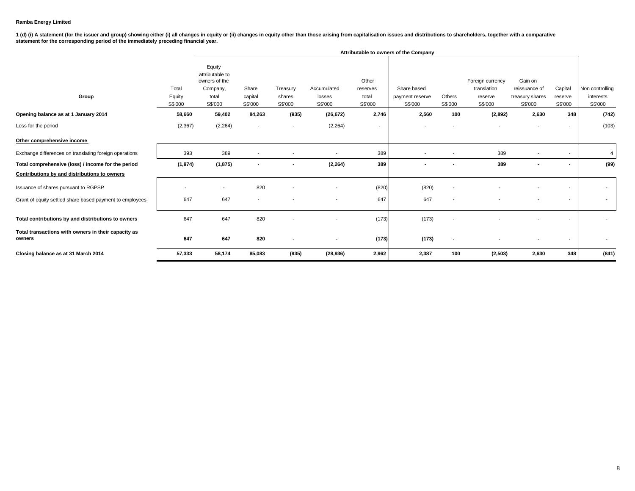1 (d) (i) A statement (for the issuer and group) showing either (i) all changes in equity or (ii) changes in equity other than those arising from capitalisation issues and distributions to shareholders, together with a com **statement for the corresponding period of the immediately preceding financial year.**

|                                                               |                            | Attributable to owners of the Company                                      |                             |                               |                                  |                                       |                                           |                          |                                                       |                                                        |                               |                                         |
|---------------------------------------------------------------|----------------------------|----------------------------------------------------------------------------|-----------------------------|-------------------------------|----------------------------------|---------------------------------------|-------------------------------------------|--------------------------|-------------------------------------------------------|--------------------------------------------------------|-------------------------------|-----------------------------------------|
| Group                                                         | Total<br>Equity<br>S\$'000 | Equity<br>attributable to<br>owners of the<br>Company,<br>total<br>S\$'000 | Share<br>capital<br>S\$'000 | Treasury<br>shares<br>S\$'000 | Accumulated<br>losses<br>S\$'000 | Other<br>reserves<br>total<br>S\$'000 | Share based<br>payment reserve<br>S\$'000 | Others<br>S\$'000        | Foreign currency<br>translation<br>reserve<br>S\$'000 | Gain on<br>reissuance of<br>treasury shares<br>S\$'000 | Capital<br>reserve<br>S\$'000 | Non controlling<br>interests<br>S\$'000 |
| Opening balance as at 1 January 2014                          | 58,660                     | 59,402                                                                     | 84,263                      | (935)                         | (26, 672)                        | 2,746                                 | 2,560                                     | 100                      | (2,892)                                               | 2,630                                                  | 348                           | (742)                                   |
| Loss for the period                                           | (2, 367)                   | (2, 264)                                                                   | $\overline{\phantom{a}}$    | $\overline{\phantom{a}}$      | (2, 264)                         | $\sim$                                |                                           | $\overline{\phantom{a}}$ | $\overline{\phantom{a}}$                              | $\overline{\phantom{a}}$                               | $\sim$                        | (103)                                   |
| Other comprehensive income                                    |                            |                                                                            |                             |                               |                                  |                                       |                                           |                          |                                                       |                                                        |                               |                                         |
| Exchange differences on translating foreign operations        | 393                        | 389                                                                        | $\overline{\phantom{a}}$    | $\overline{\phantom{a}}$      | $\overline{\phantom{a}}$         | 389                                   | $\overline{\phantom{a}}$                  |                          | 389                                                   | $\overline{\phantom{a}}$                               | $\sim$                        | $\overline{4}$                          |
| Total comprehensive (loss) / income for the period            | (1, 974)                   | (1, 875)                                                                   | $\sim$                      | $\overline{\phantom{a}}$      | (2, 264)                         | 389                                   |                                           | $\blacksquare$           | 389                                                   | $\blacksquare$                                         | $\sim$                        | (99)                                    |
| Contributions by and distributions to owners                  |                            |                                                                            |                             |                               |                                  |                                       |                                           |                          |                                                       |                                                        |                               |                                         |
| Issuance of shares pursuant to RGPSP                          |                            |                                                                            | 820                         |                               |                                  | (820)                                 | (820)                                     |                          |                                                       |                                                        |                               | $\sim$                                  |
| Grant of equity settled share based payment to employees      | 647                        | 647                                                                        |                             |                               |                                  | 647                                   | 647                                       |                          |                                                       |                                                        | $\overline{\phantom{a}}$      | $\sim$                                  |
| Total contributions by and distributions to owners            | 647                        | 647                                                                        | 820                         | ٠                             |                                  | (173)                                 | (173)                                     | $\sim$                   |                                                       |                                                        |                               |                                         |
| Total transactions with owners in their capacity as<br>owners | 647                        | 647                                                                        | 820                         | $\overline{\phantom{a}}$      |                                  | (173)                                 | (173)                                     | $\blacksquare$           |                                                       |                                                        |                               |                                         |
| Closing balance as at 31 March 2014                           | 57,333                     | 58,174                                                                     | 85,083                      | (935)                         | (28, 936)                        | 2,962                                 | 2,387                                     | 100                      | (2,503)                                               | 2,630                                                  | 348                           | (841)                                   |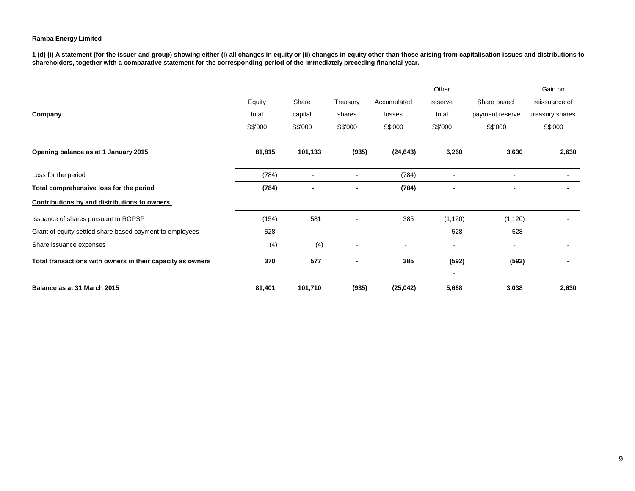**1 (d) (i) A statement (for the issuer and group) showing either (i) all changes in equity or (ii) changes in equity other than those arising from capitalisation issues and distributions to shareholders, together with a comparative statement for the corresponding period of the immediately preceding financial year.**

|                                                            |         |                |                              |             | Other                    |                 | Gain on         |
|------------------------------------------------------------|---------|----------------|------------------------------|-------------|--------------------------|-----------------|-----------------|
|                                                            | Equity  | Share          | Treasury                     | Accumulated | reserve                  | Share based     | reissuance of   |
| Company                                                    | total   | capital        | shares                       | losses      | total                    | payment reserve | treasury shares |
|                                                            | S\$'000 | S\$'000        | S\$'000                      | S\$'000     | S\$'000                  | S\$'000         | S\$'000         |
|                                                            |         |                |                              |             |                          |                 |                 |
| Opening balance as at 1 January 2015                       | 81,815  | 101,133        | (935)                        | (24, 643)   | 6,260                    | 3,630           | 2,630           |
| Loss for the period                                        | (784)   | $\blacksquare$ | $\blacksquare$               | (784)       | $\overline{\phantom{a}}$ |                 | ٠               |
| Total comprehensive loss for the period                    | (784)   | $\blacksquare$ |                              | (784)       | $\blacksquare$           |                 | $\blacksquare$  |
| Contributions by and distributions to owners               |         |                |                              |             |                          |                 |                 |
| Issuance of shares pursuant to RGPSP                       | (154)   | 581            |                              | 385         | (1, 120)                 | (1, 120)        |                 |
| Grant of equity settled share based payment to employees   | 528     | ۰              | $\blacksquare$               |             | 528                      | 528             |                 |
| Share issuance expenses                                    | (4)     | (4)            | $\qquad \qquad \blacksquare$ |             | $\overline{\phantom{a}}$ |                 | ٠               |
| Total transactions with owners in their capacity as owners | 370     | 577            | $\blacksquare$               | 385         | (592)                    | (592)           | $\blacksquare$  |
|                                                            |         |                |                              |             | ۰                        |                 |                 |
| Balance as at 31 March 2015                                | 81,401  | 101,710        | (935)                        | (25, 042)   | 5,668                    | 3,038           | 2,630           |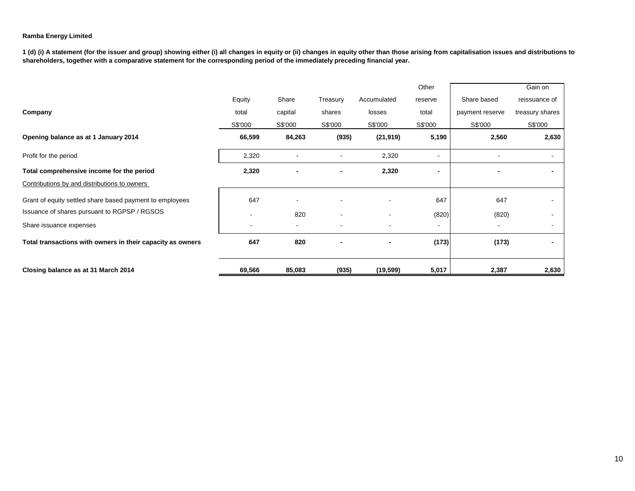**1 (d) (i) A statement (for the issuer and group) showing either (i) all changes in equity or (ii) changes in equity other than those arising from capitalisation issues and distributions to shareholders, together with a comparative statement for the corresponding period of the immediately preceding financial year.**

|                                                            |         |         |          |             | Other          |                 | Gain on         |
|------------------------------------------------------------|---------|---------|----------|-------------|----------------|-----------------|-----------------|
|                                                            | Equity  | Share   | Treasury | Accumulated | reserve        | Share based     | reissuance of   |
| Company                                                    | total   | capital | shares   | losses      | total          | payment reserve | treasury shares |
|                                                            | S\$'000 | S\$'000 | S\$'000  | S\$'000     | S\$'000        | S\$'000         | S\$'000         |
| Opening balance as at 1 January 2014                       | 66,599  | 84,263  | (935)    | (21, 919)   | 5,190          | 2,560           | 2,630           |
| Profit for the period                                      | 2,320   |         |          | 2,320       | $\blacksquare$ |                 |                 |
| Total comprehensive income for the period                  | 2,320   |         |          | 2,320       |                |                 |                 |
| Contributions by and distributions to owners               |         |         |          |             |                |                 |                 |
| Grant of equity settled share based payment to employees   | 647     |         |          |             | 647            | 647             |                 |
| Issuance of shares pursuant to RGPSP / RGSOS               |         | 820     |          |             | (820)          | (820)           |                 |
| Share issuance expenses                                    |         | $\sim$  |          |             | $\blacksquare$ |                 |                 |
| Total transactions with owners in their capacity as owners | 647     | 820     |          |             | (173)          | (173)           |                 |
| Closing balance as at 31 March 2014                        | 69,566  | 85,083  | (935)    | (19, 599)   | 5,017          | 2,387           | 2,630           |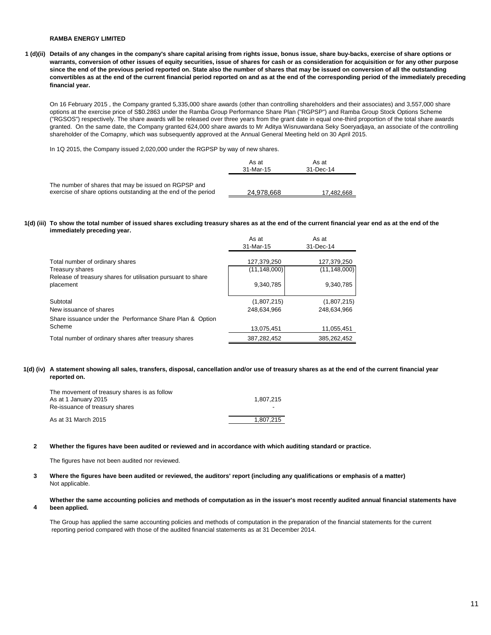**1 (d)(ii) Details of any changes in the company's share capital arising from rights issue, bonus issue, share buy-backs, exercise of share options or warrants, conversion of other issues of equity securities, issue of shares for cash or as consideration for acquisition or for any other purpose since the end of the previous period reported on. State also the number of shares that may be issued on conversion of all the outstanding convertibles as at the end of the current financial period reported on and as at the end of the corresponding period of the immediately preceding financial year.**

On 16 February 2015 , the Company granted 5,335,000 share awards (other than controlling shareholders and their associates) and 3,557,000 share options at the exercise price of S\$0.2863 under the Ramba Group Performance Share Plan ("RGPSP") and Ramba Group Stock Options Scheme ("RGSOS") respectively. The share awards will be released over three years from the grant date in equal one-third proportion of the total share awards granted. On the same date, the Company granted 624,000 share awards to Mr Aditya Wisnuwardana Seky Soeryadjaya, an associate of the controlling shareholder of the Comapny, which was subsequently approved at the Annual General Meeting held on 30 April 2015.

In 1Q 2015, the Company issued 2,020,000 under the RGPSP by way of new shares.

|                                                                                                                        | As at<br>31-Mar-15 | As at<br>31-Dec-14 |
|------------------------------------------------------------------------------------------------------------------------|--------------------|--------------------|
| The number of shares that may be issued on RGPSP and<br>exercise of share options outstanding at the end of the period | 24.978.668         | 17.482.668         |

#### **1(d) (iii) To show the total number of issued shares excluding treasury shares as at the end of the current financial year end as at the end of the immediately preceding year.**

|                                                                           | As at<br>31-Mar-15            | As at<br>31-Dec-14            |
|---------------------------------------------------------------------------|-------------------------------|-------------------------------|
| Total number of ordinary shares<br>Treasury shares                        | 127,379,250<br>(11, 148, 000) | 127,379,250<br>(11, 148, 000) |
| Release of treasury shares for utilisation pursuant to share<br>placement | 9,340,785                     | 9,340,785                     |
| Subtotal                                                                  | (1,807,215)                   | (1,807,215)                   |
| New issuance of shares                                                    | 248.634.966                   | 248.634.966                   |
| Share issuance under the Performance Share Plan & Option                  |                               |                               |
| Scheme                                                                    | 13,075,451                    | 11,055,451                    |
| Total number of ordinary shares after treasury shares                     | 387.282.452                   | 385.262.452                   |

#### **1(d) (iv) A statement showing all sales, transfers, disposal, cancellation and/or use of treasury shares as at the end of the current financial year reported on.**

| The movement of treasury shares is as follow |           |
|----------------------------------------------|-----------|
| As at 1 January 2015                         | 1.807.215 |
| Re-issuance of treasury shares               | ۰         |
| As at 31 March 2015                          | 1.807.215 |

#### **2 Whether the figures have been audited or reviewed and in accordance with which auditing standard or practice.**

The figures have not been audited nor reviewed.

**4**

#### **3** Not applicable. **Where the figures have been audited or reviewed, the auditors' report (including any qualifications or emphasis of a matter)**

#### **Whether the same accounting policies and methods of computation as in the issuer's most recently audited annual financial statements have been applied.**

The Group has applied the same accounting policies and methods of computation in the preparation of the financial statements for the current reporting period compared with those of the audited financial statements as at 31 December 2014.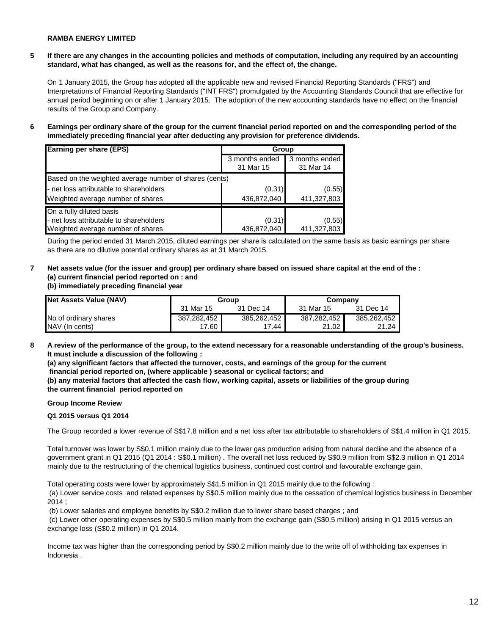## **5 If there are any changes in the accounting policies and methods of computation, including any required by an accounting standard, what has changed, as well as the reasons for, and the effect of, the change.**

On 1 January 2015, the Group has adopted all the applicable new and revised Financial Reporting Standards ("FRS") and Interpretations of Financial Reporting Standards ("INT FRS") promulgated by the Accounting Standards Council that are effective for annual period beginning on or after 1 January 2015. The adoption of the new accounting standards have no effect on the financial results of the Group and Company.

**6 Earnings per ordinary share of the group for the current financial period reported on and the corresponding period of the immediately preceding financial year after deducting any provision for preference dividends.** 

| <b>Earning per share (EPS)</b>                         | Group                       |                             |  |
|--------------------------------------------------------|-----------------------------|-----------------------------|--|
|                                                        | 3 months ended<br>31 Mar 15 | 3 months ended<br>31 Mar 14 |  |
| Based on the weighted average number of shares (cents) |                             |                             |  |
| - net loss attributable to shareholders                | (0.31)                      | (0.55)                      |  |
| Weighted average number of shares                      | 436,872,040                 | 411,327,803                 |  |
| On a fully diluted basis                               |                             |                             |  |
| - net loss attributable to shareholders                | (0.31)                      | (0.55)                      |  |
| Weighted average number of shares                      | 436,872,040                 | 411,327,803                 |  |

During the period ended 31 March 2015, diluted earnings per share is calculated on the same basis as basic earnings per share as there are no dilutive potential ordinary shares as at 31 March 2015.

**7 Net assets value (for the issuer and group) per ordinary share based on issued share capital at the end of the : (a) current financial period reported on : and** 

## **(b) immediately preceding financial year**

| <b>Net Assets Value (NAV)</b> | Group       |             | Company     |             |
|-------------------------------|-------------|-------------|-------------|-------------|
|                               | 31 Mar 15   | 31 Dec 14   | 31 Mar 15   | 31 Dec 14   |
| No of ordinary shares         | 387,282,452 | 385,262,452 | 387,282,452 | 385.262.452 |
| NAV (In cents)                | 17.60       | 17.44       | 21.02       | 21.24       |

**8 A review of the performance of the group, to the extend necessary for a reasonable understanding of the group's business. It must include a discussion of the following :** 

**(a) any significant factors that affected the turnover, costs, and earnings of the group for the current financial period reported on, (where applicable ) seasonal or cyclical factors; and**

**(b) any material factors that affected the cash flow, working capital, assets or liabilities of the group during the current financial period reported on** 

## **Group Income Review**

## **Q1 2015 versus Q1 2014**

The Group recorded a lower revenue of S\$17.8 million and a net loss after tax attributable to shareholders of S\$1.4 million in Q1 2015.

Total turnover was lower by S\$0.1 million mainly due to the lower gas production arising from natural decline and the absence of a government grant in Q1 2015 (Q1 2014 : S\$0.1 million) . The overall net loss reduced by S\$0.9 million from S\$2.3 million in Q1 2014 mainly due to the restructuring of the chemical logistics business, continued cost control and favourable exchange gain.

Total operating costs were lower by approximately S\$1.5 million in Q1 2015 mainly due to the following :

 (a) Lower service costs and related expenses by S\$0.5 million mainly due to the cessation of chemical logistics business in December 2014 ;

(b) Lower salaries and employee benefits by S\$0.2 million due to lower share based charges ; and

 (c) Lower other operating expenses by S\$0.5 million mainly from the exchange gain (S\$0.5 million) arising in Q1 2015 versus an exchange loss (S\$0.2 million) in Q1 2014.

Income tax was higher than the corresponding period by S\$0.2 million mainly due to the write off of withholding tax expenses in Indonesia .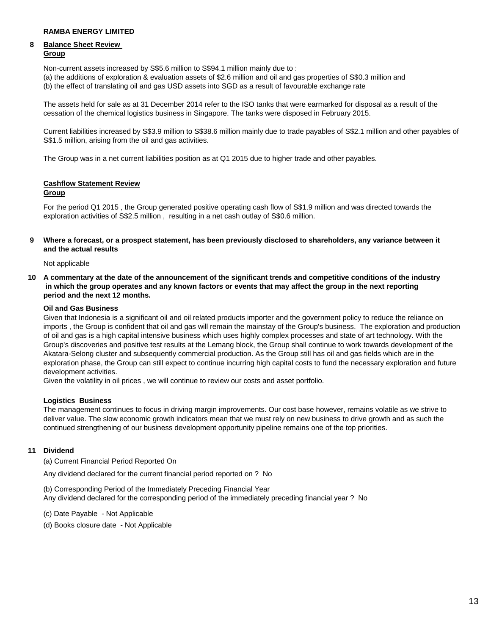### **8 Balance Sheet Review Group**

Non-current assets increased by S\$5.6 million to S\$94.1 million mainly due to :

(a) the additions of exploration & evaluation assets of \$2.6 million and oil and gas properties of S\$0.3 million and (b) the effect of translating oil and gas USD assets into SGD as a result of favourable exchange rate

The assets held for sale as at 31 December 2014 refer to the ISO tanks that were earmarked for disposal as a result of the cessation of the chemical logistics business in Singapore. The tanks were disposed in February 2015.

Current liabilities increased by S\$3.9 million to S\$38.6 million mainly due to trade payables of S\$2.1 million and other payables of S\$1.5 million, arising from the oil and gas activities.

The Group was in a net current liabilities position as at Q1 2015 due to higher trade and other payables.

## **Cashflow Statement Review**

### **Group**

For the period Q1 2015 , the Group generated positive operating cash flow of S\$1.9 million and was directed towards the exploration activities of S\$2.5 million , resulting in a net cash outlay of S\$0.6 million.

**9 Where a forecast, or a prospect statement, has been previously disclosed to shareholders, any variance between it and the actual results** 

Not applicable

**10 A commentary at the date of the announcement of the significant trends and competitive conditions of the industry in which the group operates and any known factors or events that may affect the group in the next reporting period and the next 12 months.** 

## **Oil and Gas Business**

Given that Indonesia is a significant oil and oil related products importer and the government policy to reduce the reliance on imports , the Group is confident that oil and gas will remain the mainstay of the Group's business. The exploration and production of oil and gas is a high capital intensive business which uses highly complex processes and state of art technology. With the Group's discoveries and positive test results at the Lemang block, the Group shall continue to work towards development of the Akatara-Selong cluster and subsequently commercial production. As the Group still has oil and gas fields which are in the exploration phase, the Group can still expect to continue incurring high capital costs to fund the necessary exploration and future development activities.

Given the volatility in oil prices , we will continue to review our costs and asset portfolio.

## **Logistics Business**

The management continues to focus in driving margin improvements. Our cost base however, remains volatile as we strive to deliver value. The slow economic growth indicators mean that we must rely on new business to drive growth and as such the continued strengthening of our business development opportunity pipeline remains one of the top priorities.

## **11 Dividend**

(a) Current Financial Period Reported On

Any dividend declared for the current financial period reported on ? No

(b) Corresponding Period of the Immediately Preceding Financial Year Any dividend declared for the corresponding period of the immediately preceding financial year ? No

(c) Date Payable - Not Applicable

(d) Books closure date - Not Applicable